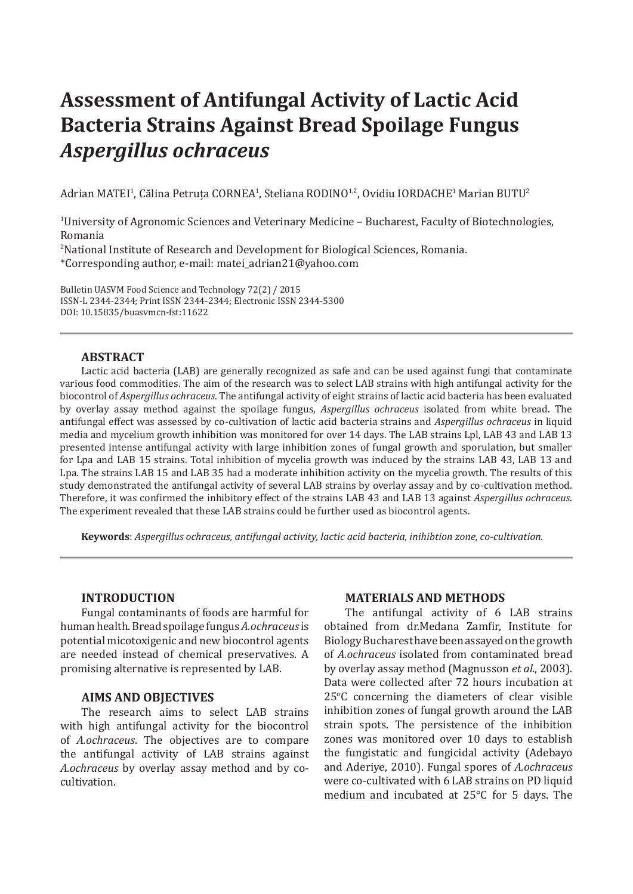# **Assessment of Antifungal Activity of Lactic Acid Bacteria Strains Against Bread Spoilage Fungus**  *Aspergillus ochraceus*

Adrian MATEI<sup>1</sup>, Călina Petruța CORNEA<sup>1</sup>, Steliana RODINO<sup>1,2</sup>, Ovidiu IORDACHE<sup>1</sup> Marian BUTU<sup>2</sup>

 $^{\text{1}}$ University of Agronomic Sciences and Veterinary Medicine – Bucharest, Faculty of Biotechnologies, Romania

2 National Institute of Research and Development for Biological Sciences, Romania. \*Corresponding author, e-mail: matei\_adrian21@yahoo.com

Bulletin UASVM Food Science and Technology 72(2) / 2015 ISSN-L 2344-2344; Print ISSN 2344-2344; Electronic ISSN 2344-5300 DOI: 10.15835/buasvmcn-fst:11622

## **ABSTRACT**

Lactic acid bacteria (LAB) are generally recognized as safe and can be used against fungi that contaminate various food commodities. The aim of the research was to select LAB strains with high antifungal activity for the biocontrol of *Aspergillus ochraceus*. The antifungal activity of eight strains of lactic acid bacteria has been evaluated by overlay assay method against the spoilage fungus, *Aspergillus ochraceus* isolated from white bread. The antifungal effect was assessed by co-cultivation of lactic acid bacteria strains and *Aspergillus ochraceus* in liquid media and mycelium growth inhibition was monitored for over 14 days. The LAB strains Lpl, LAB 43 and LAB 13 presented intense antifungal activity with large inhibition zones of fungal growth and sporulation, but smaller for Lpa and LAB 15 strains. Total inhibition of mycelia growth was induced by the strains LAB 43, LAB 13 and Lpa. The strains LAB 15 and LAB 35 had a moderate inhibition activity on the mycelia growth. The results of this study demonstrated the antifungal activity of several LAB strains by overlay assay and by co-cultivation method. Therefore, it was confirmed the inhibitory effect of the strains LAB 43 and LAB 13 against *Aspergillus ochraceus*. The experiment revealed that these LAB strains could be further used as biocontrol agents.

**Keywords**: *Aspergillus ochraceus, antifungal activity, lactic acid bacteria, inihibtion zone, co-cultivation.*

#### **INTRODUCTION**

Fungal contaminants of foods are harmful for humanhealth.Breadspoilage fungus*A.ochraceus* is potential micotoxigenic and new biocontrol agents are needed instead of chemical preservatives. A promising alternative is represented by LAB.

#### **AIMS AND OBJECTIVES**

The research aims to select LAB strains with high antifungal activity for the biocontrol of *A.ochraceus*. The objectives are to compare the antifungal activity of LAB strains against *A.ochraceus* by overlay assay method and by cocultivation.

#### **MATERIALS AND METHODS**

The antifungal activity of 6 LAB strains obtained from dr.Medana Zamfir, Institute for BiologyBucharesthavebeenassayedonthegrowth of *A.ochraceus* isolated from contaminated bread by overlay assay method (Magnusson *et al.*, 2003). Data were collected after 72 hours incubation at  $25^{\circ}$ C concerning the diameters of clear visible inhibition zones of fungal growth around the LAB strain spots. The persistence of the inhibition zones was monitored over 10 days to establish the fungistatic and fungicidal activity (Adebayo and Aderiye, 2010). Fungal spores of *A.ochraceus* were co-cultivated with 6 LAB strains on PD liquid medium and incubated at 25°C for 5 days. The